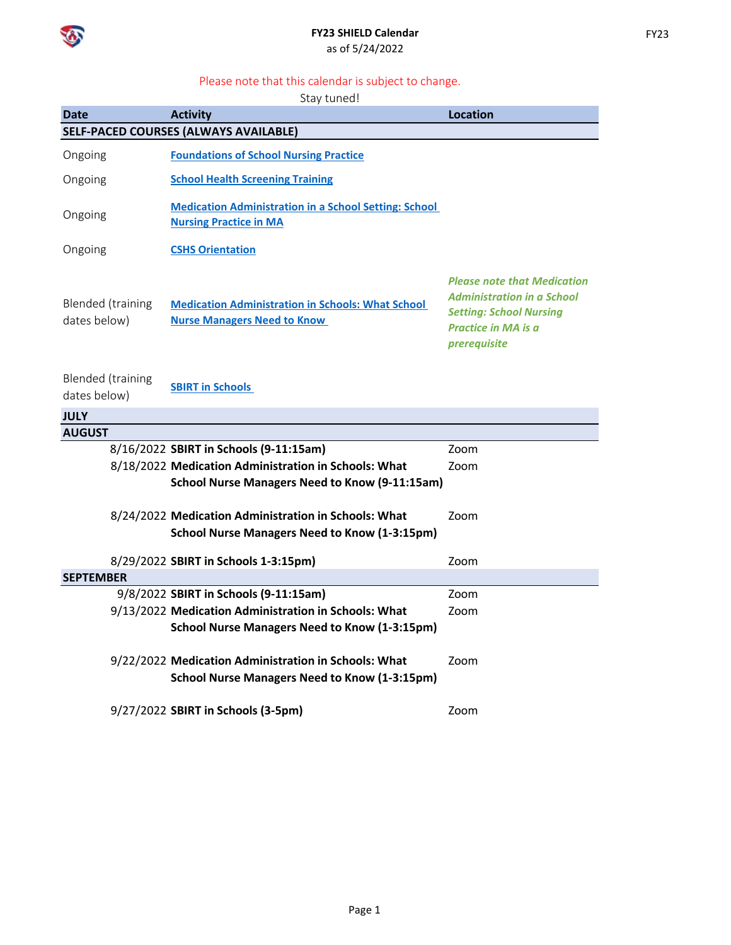

## **FY23 SHIELD Calendar** as of 5/24/2022

## Please note that this calendar is subject to change.

Stay tuned!

| <b>Date</b>                                  | <b>Activity</b>                                                                                              | <b>Location</b>                                                                                                                                         |  |  |  |
|----------------------------------------------|--------------------------------------------------------------------------------------------------------------|---------------------------------------------------------------------------------------------------------------------------------------------------------|--|--|--|
| <b>SELF-PACED COURSES (ALWAYS AVAILABLE)</b> |                                                                                                              |                                                                                                                                                         |  |  |  |
| Ongoing                                      | <b>Foundations of School Nursing Practice</b>                                                                |                                                                                                                                                         |  |  |  |
| Ongoing                                      | <b>School Health Screening Training</b>                                                                      |                                                                                                                                                         |  |  |  |
| Ongoing                                      | <b>Medication Administration in a School Setting: School</b><br><b>Nursing Practice in MA</b>                |                                                                                                                                                         |  |  |  |
| Ongoing                                      | <b>CSHS Orientation</b>                                                                                      |                                                                                                                                                         |  |  |  |
| <b>Blended</b> (training<br>dates below)     | <b>Medication Administration in Schools: What School</b><br><b>Nurse Managers Need to Know</b>               | <b>Please note that Medication</b><br><b>Administration in a School</b><br><b>Setting: School Nursing</b><br><b>Practice in MA is a</b><br>prerequisite |  |  |  |
| <b>Blended</b> (training<br>dates below)     | <b>SBIRT in Schools</b>                                                                                      |                                                                                                                                                         |  |  |  |
| <b>JULY</b>                                  |                                                                                                              |                                                                                                                                                         |  |  |  |
| <b>AUGUST</b>                                |                                                                                                              |                                                                                                                                                         |  |  |  |
|                                              | 8/16/2022 SBIRT in Schools (9-11:15am)                                                                       | Zoom                                                                                                                                                    |  |  |  |
|                                              | 8/18/2022 Medication Administration in Schools: What                                                         | Zoom                                                                                                                                                    |  |  |  |
|                                              | <b>School Nurse Managers Need to Know (9-11:15am)</b>                                                        |                                                                                                                                                         |  |  |  |
|                                              | 8/24/2022 Medication Administration in Schools: What<br><b>School Nurse Managers Need to Know (1-3:15pm)</b> | Zoom                                                                                                                                                    |  |  |  |
|                                              | 8/29/2022 SBIRT in Schools 1-3:15pm)                                                                         | Zoom                                                                                                                                                    |  |  |  |
| <b>SEPTEMBER</b>                             |                                                                                                              |                                                                                                                                                         |  |  |  |
|                                              | 9/8/2022 SBIRT in Schools (9-11:15am)                                                                        | Zoom                                                                                                                                                    |  |  |  |
|                                              | 9/13/2022 Medication Administration in Schools: What                                                         | Zoom                                                                                                                                                    |  |  |  |
|                                              | <b>School Nurse Managers Need to Know (1-3:15pm)</b>                                                         |                                                                                                                                                         |  |  |  |
|                                              | 9/22/2022 Medication Administration in Schools: What                                                         | Zoom                                                                                                                                                    |  |  |  |
|                                              | <b>School Nurse Managers Need to Know (1-3:15pm)</b>                                                         |                                                                                                                                                         |  |  |  |
|                                              | 9/27/2022 SBIRT in Schools (3-5pm)                                                                           | Zoom                                                                                                                                                    |  |  |  |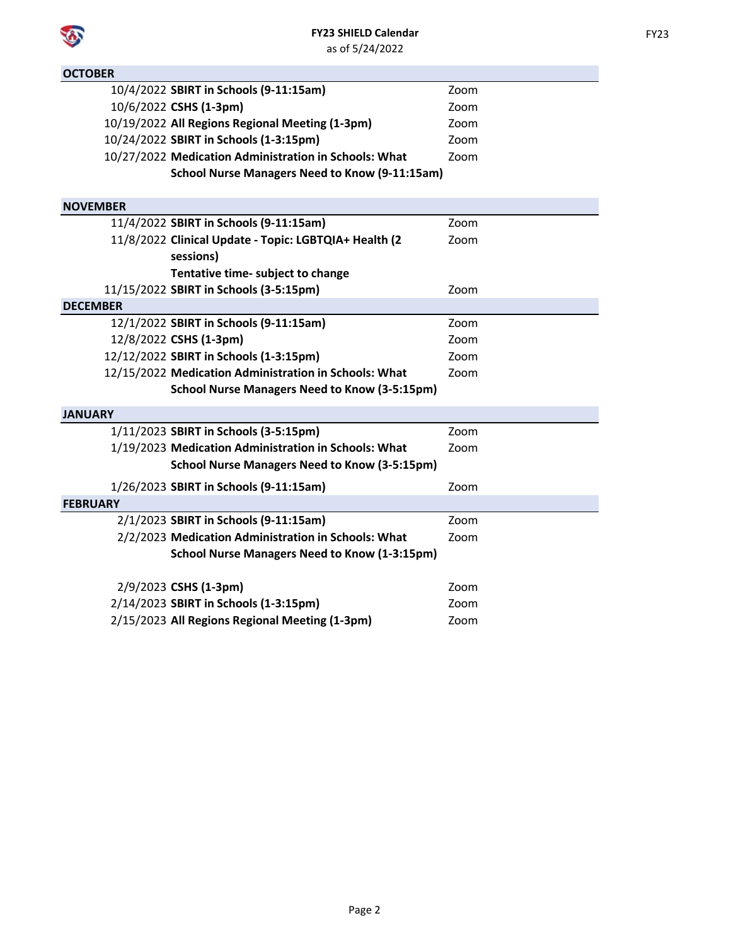**OCTOBER**

|                 | 10/4/2022 SBIRT in Schools (9-11:15am)                | Zoom |
|-----------------|-------------------------------------------------------|------|
|                 | 10/6/2022 CSHS (1-3pm)                                | Zoom |
|                 | 10/19/2022 All Regions Regional Meeting (1-3pm)       | Zoom |
|                 | 10/24/2022 SBIRT in Schools (1-3:15pm)                | Zoom |
|                 | 10/27/2022 Medication Administration in Schools: What | Zoom |
|                 | <b>School Nurse Managers Need to Know (9-11:15am)</b> |      |
|                 |                                                       |      |
| <b>NOVEMBER</b> |                                                       |      |
|                 | 11/4/2022 SBIRT in Schools (9-11:15am)                | Zoom |
|                 | 11/8/2022 Clinical Update - Topic: LGBTQIA+ Health (2 | Zoom |
|                 | sessions)                                             |      |
|                 | Tentative time- subject to change                     |      |
|                 | 11/15/2022 SBIRT in Schools (3-5:15pm)                | Zoom |
| <b>DECEMBER</b> |                                                       |      |
|                 | 12/1/2022 SBIRT in Schools (9-11:15am)                | Zoom |
|                 | 12/8/2022 CSHS (1-3pm)                                | Zoom |
|                 | 12/12/2022 SBIRT in Schools (1-3:15pm)                | Zoom |
|                 | 12/15/2022 Medication Administration in Schools: What | Zoom |
|                 | <b>School Nurse Managers Need to Know (3-5:15pm)</b>  |      |
| <b>JANUARY</b>  |                                                       |      |
|                 | 1/11/2023 SBIRT in Schools (3-5:15pm)                 | Zoom |
|                 | 1/19/2023 Medication Administration in Schools: What  | Zoom |
|                 | <b>School Nurse Managers Need to Know (3-5:15pm)</b>  |      |
|                 | 1/26/2023 SBIRT in Schools (9-11:15am)                | Zoom |
| <b>FEBRUARY</b> |                                                       |      |
|                 | 2/1/2023 SBIRT in Schools (9-11:15am)                 | Zoom |
|                 | 2/2/2023 Medication Administration in Schools: What   | Zoom |
|                 | <b>School Nurse Managers Need to Know (1-3:15pm)</b>  |      |
|                 | 2/9/2023 CSHS (1-3pm)                                 | Zoom |
|                 |                                                       |      |
|                 | 2/14/2023 SBIRT in Schools (1-3:15pm)                 | Zoom |
|                 | 2/15/2023 All Regions Regional Meeting (1-3pm)        | Zoom |